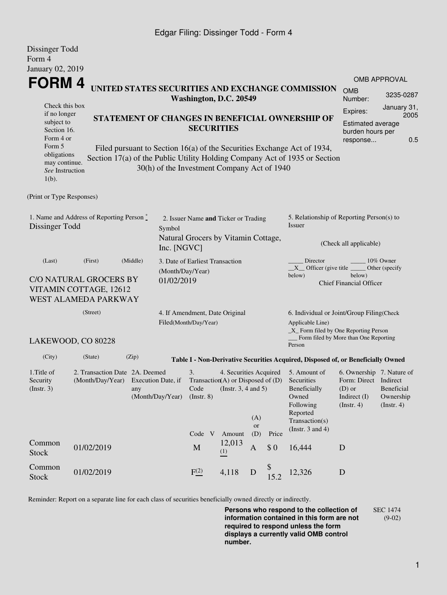### Edgar Filing: Dissinger Todd - Form 4

Dissinger Todd

| DISSINGER TOUL<br>Form 4                                                                                                                          |                                                                                            |                                                                                                                                                                                                          |                                                                      |                                                                             |                                                                                                    |                                  |                                                                                                |                                                                                                                                                  |                                             |                                  |  |
|---------------------------------------------------------------------------------------------------------------------------------------------------|--------------------------------------------------------------------------------------------|----------------------------------------------------------------------------------------------------------------------------------------------------------------------------------------------------------|----------------------------------------------------------------------|-----------------------------------------------------------------------------|----------------------------------------------------------------------------------------------------|----------------------------------|------------------------------------------------------------------------------------------------|--------------------------------------------------------------------------------------------------------------------------------------------------|---------------------------------------------|----------------------------------|--|
| January 02, 2019                                                                                                                                  |                                                                                            |                                                                                                                                                                                                          |                                                                      |                                                                             |                                                                                                    |                                  |                                                                                                |                                                                                                                                                  |                                             |                                  |  |
| FORM 4                                                                                                                                            |                                                                                            |                                                                                                                                                                                                          |                                                                      | Washington, D.C. 20549                                                      |                                                                                                    |                                  |                                                                                                | UNITED STATES SECURITIES AND EXCHANGE COMMISSION                                                                                                 | <b>OMB</b><br>Number:                       | <b>OMB APPROVAL</b><br>3235-0287 |  |
| Check this box<br>if no longer<br>subject to<br>Section 16.<br>Form 4 or<br>Form 5<br>obligations<br>may continue.<br>See Instruction<br>$1(b)$ . |                                                                                            | STATEMENT OF CHANGES IN BENEFICIAL OWNERSHIP OF<br>Filed pursuant to Section 16(a) of the Securities Exchange Act of 1934,<br>Section 17(a) of the Public Utility Holding Company Act of 1935 or Section |                                                                      | <b>SECURITIES</b><br>30(h) of the Investment Company Act of 1940            | January 31,<br>Expires:<br>2005<br><b>Estimated average</b><br>burden hours per<br>0.5<br>response |                                  |                                                                                                |                                                                                                                                                  |                                             |                                  |  |
| (Print or Type Responses)                                                                                                                         |                                                                                            |                                                                                                                                                                                                          |                                                                      |                                                                             |                                                                                                    |                                  |                                                                                                |                                                                                                                                                  |                                             |                                  |  |
| 1. Name and Address of Reporting Person $\stackrel{*}{\mathbb{L}}$<br>Dissinger Todd                                                              |                                                                                            |                                                                                                                                                                                                          | Symbol<br>Inc. [NGVC]                                                | 2. Issuer Name and Ticker or Trading<br>Natural Grocers by Vitamin Cottage, |                                                                                                    |                                  | 5. Relationship of Reporting Person(s) to<br>Issuer<br>(Check all applicable)                  |                                                                                                                                                  |                                             |                                  |  |
| (Last)                                                                                                                                            | (First)<br><b>C/O NATURAL GROCERS BY</b><br>VITAMIN COTTAGE, 12612<br>WEST ALAMEDA PARKWAY | (Middle)                                                                                                                                                                                                 | (Month/Day/Year)<br>01/02/2019                                       | 3. Date of Earliest Transaction                                             |                                                                                                    |                                  |                                                                                                | Director<br>$X$ Officer (give title $\overline{\phantom{a}}$<br>below)                                                                           | below)<br><b>Chief Financial Officer</b>    | 10% Owner<br>Other (specify)     |  |
| (Street)<br>LAKEWOOD, CO 80228                                                                                                                    |                                                                                            |                                                                                                                                                                                                          |                                                                      | 4. If Amendment, Date Original<br>Filed(Month/Day/Year)                     |                                                                                                    |                                  |                                                                                                | 6. Individual or Joint/Group Filing(Check<br>Applicable Line)<br>_X_ Form filed by One Reporting Person<br>Form filed by More than One Reporting |                                             |                                  |  |
|                                                                                                                                                   |                                                                                            |                                                                                                                                                                                                          |                                                                      |                                                                             |                                                                                                    |                                  |                                                                                                | Person                                                                                                                                           |                                             |                                  |  |
| (City)                                                                                                                                            | (State)                                                                                    | (Zip)                                                                                                                                                                                                    |                                                                      |                                                                             |                                                                                                    |                                  |                                                                                                | Table I - Non-Derivative Securities Acquired, Disposed of, or Beneficially Owned                                                                 |                                             |                                  |  |
| 1. Title of<br>2. Transaction Date 2A. Deemed<br>Security<br>(Month/Day/Year) Execution Date, if<br>$($ Instr. 3 $)$<br>any<br>(Month/Day/Year)   |                                                                                            |                                                                                                                                                                                                          | 3.<br>Transaction(A) or Disposed of $(D)$<br>Code<br>$($ Instr. $8)$ | 4. Securities Acquired<br>(Instr. $3, 4$ and $5$ )                          | (A)                                                                                                |                                  | 5. Amount of<br>Securities<br>Beneficially<br>Owned<br>Following<br>Reported<br>Transaction(s) | 6. Ownership 7. Nature of<br>Form: Direct Indirect<br>$(D)$ or<br>Indirect (I)<br>$($ Instr. 4 $)$                                               | Beneficial<br>Ownership<br>$($ Instr. 4 $)$ |                                  |  |
| Common<br><b>Stock</b>                                                                                                                            | 01/02/2019                                                                                 |                                                                                                                                                                                                          |                                                                      | Code V<br>$\mathbf M$                                                       | Amount<br>12,013<br>(1)                                                                            | <b>or</b><br>(D)<br>$\mathbf{A}$ | Price<br>\$0                                                                                   | (Instr. $3$ and $4$ )<br>16,444                                                                                                                  | D                                           |                                  |  |
| Common<br><b>Stock</b>                                                                                                                            | 01/02/2019                                                                                 |                                                                                                                                                                                                          |                                                                      | F(2)                                                                        | 4,118                                                                                              | D                                | 15.2                                                                                           | 12,326                                                                                                                                           | D                                           |                                  |  |

Reminder: Report on a separate line for each class of securities beneficially owned directly or indirectly.

**Persons who respond to the collection of information contained in this form are not required to respond unless the form displays a currently valid OMB control number.** SEC 1474 (9-02)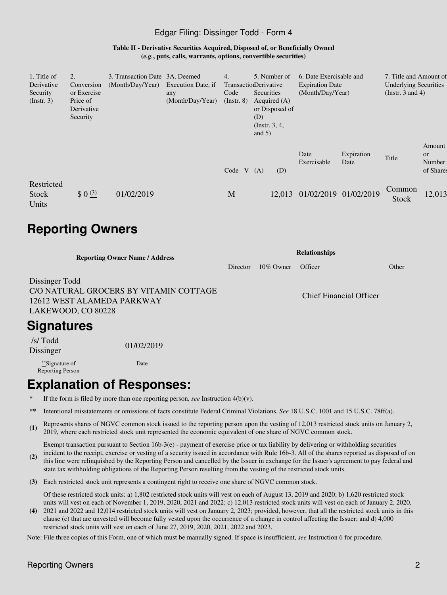#### Edgar Filing: Dissinger Todd - Form 4

**Table II - Derivative Securities Acquired, Disposed of, or Beneficially Owned (***e.g.***, puts, calls, warrants, options, convertible securities)**

| 1. Title of<br>Derivative<br>Security<br>(Instr. 3) | 2.<br>Conversion<br>or Exercise<br>Price of<br>Derivative<br>Security | 3. Transaction Date 3A. Deemed<br>(Month/Day/Year) | Execution Date, if<br>any<br>(Month/Day/Year) | 4.<br><b>TransactionDerivative</b><br>Code<br>$($ Instr. 8 $)$ | (D)<br>and $5)$ | 5. Number of<br>Securities<br>Acquired $(A)$<br>or Disposed of<br>(Instr. $3, 4,$ | 6. Date Exercisable and<br><b>Expiration Date</b><br>(Month/Day/Year) |                    | 7. Title and Amount of<br><b>Underlying Securities</b><br>(Instr. $3$ and $4$ ) |                                     |
|-----------------------------------------------------|-----------------------------------------------------------------------|----------------------------------------------------|-----------------------------------------------|----------------------------------------------------------------|-----------------|-----------------------------------------------------------------------------------|-----------------------------------------------------------------------|--------------------|---------------------------------------------------------------------------------|-------------------------------------|
|                                                     |                                                                       |                                                    |                                               | Code $V(A)$                                                    |                 | (D)                                                                               | Date<br>Exercisable                                                   | Expiration<br>Date | Title                                                                           | Amount<br>or<br>Number<br>of Shares |
| Restricted<br>Stock<br>Units                        | $$0^{(3)}$                                                            | 01/02/2019                                         |                                               | M                                                              |                 | 12,013                                                                            | 01/02/2019 01/02/2019                                                 |                    | Common<br>Stock                                                                 | 12,013                              |

# **Reporting Owners**

| <b>Reporting Owner Name / Address</b>                                                                        | <b>Relationships</b> |              |                         |       |  |  |
|--------------------------------------------------------------------------------------------------------------|----------------------|--------------|-------------------------|-------|--|--|
|                                                                                                              | Director             | $10\%$ Owner | Officer                 | Other |  |  |
| Dissinger Todd<br>C/O NATURAL GROCERS BY VITAMIN COTTAGE<br>12612 WEST ALAMEDA PARKWAY<br>LAKEWOOD, CO 80228 |                      |              | Chief Financial Officer |       |  |  |
| Signatures                                                                                                   |                      |              |                         |       |  |  |

 /s/ Todd Dissinger 01/02/2019

\*\*Signature of Reporting Person Date

# **Explanation of Responses:**

- If the form is filed by more than one reporting person, *see* Instruction  $4(b)(v)$ .
- **\*\*** Intentional misstatements or omissions of facts constitute Federal Criminal Violations. *See* 18 U.S.C. 1001 and 15 U.S.C. 78ff(a).
- **(1)** Represents shares of NGVC common stock issued to the reporting person upon the vesting of 12,013 restricted stock units on January 2, 2019, where each restricted stock unit represented the economic equivalent of one share of NGVC common stock.

Exempt transaction pursuant to Section 16b-3(e) - payment of exercise price or tax liability by delivering or withholding securities

- **(2)** incident to the receipt, exercise or vesting of a security issued in accordance with Rule 16b-3. All of the shares reported as disposed of on this line were relinquished by the Reporting Person and cancelled by the Issuer in exchange for the Issuer's agreement to pay federal and state tax withholding obligations of the Reporting Person resulting from the vesting of the restricted stock units.
- **(3)** Each restricted stock unit represents a contingent right to receive one share of NGVC common stock.

Of these restricted stock units: a) 1,802 restricted stock units will vest on each of August 13, 2019 and 2020; b) 1,620 restricted stock units will vest on each of November 1, 2019, 2020, 2021 and 2022; c) 12,013 restricted stock units will vest on each of January 2, 2020,

**(4)** 2021 and 2022 and 12,014 restricted stock units will vest on January 2, 2023; provided, however, that all the restricted stock units in this clause (c) that are unvested will become fully vested upon the occurrence of a change in control affecting the Issuer; and d) 4,000 restricted stock units will vest on each of June 27, 2019, 2020, 2021, 2022 and 2023.

Note: File three copies of this Form, one of which must be manually signed. If space is insufficient, *see* Instruction 6 for procedure.